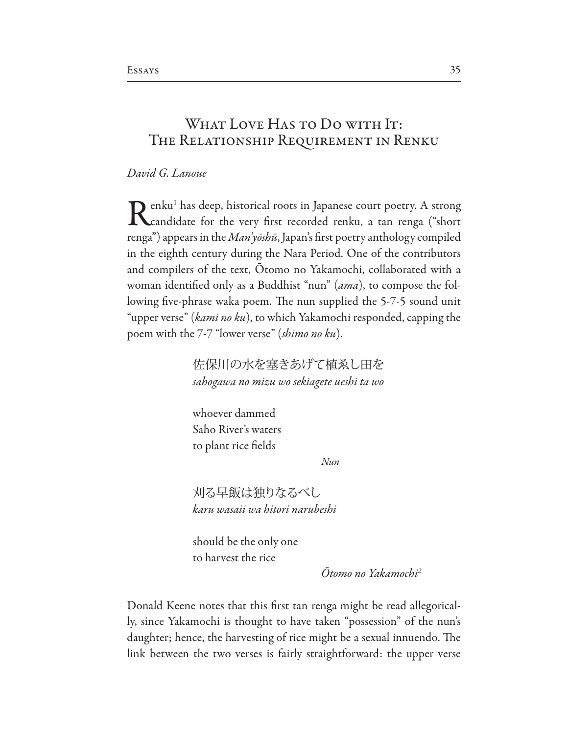# WHAT LOVE HAS TO DO WITH IT: The Relationship Requirement in Renku

### *David G. Lanoue*

Renku<sup>1</sup> has deep, historical roots in Japanese court poetry. A strong<br>candidate for the very first recorded renku, a tan renga ("short  $\bigcap$  enku<sup>1</sup> has deep, historical roots in Japanese court poetry. A strong renga") appears in the *Man'y*ō*sh*ū, Japan's frst poetry anthology compiled in the eighth century during the Nara Period. One of the contributors and compilers of the text, Otomo no Yakamochi, collaborated with a woman identifed only as a Buddhist "nun" (*ama*), to compose the following five-phrase waka poem. The nun supplied the 5-7-5 sound unit "upper verse" (*kami no ku*), to which Yakamochi responded, capping the poem with the 7-7 "lower verse" (*shimo no ku*).

> 佐保川の水を塞きあげて植ゑし田を *sahogawa no mizu wo sekiagete ueshi ta wo*

whoever dammed Saho River's waters to plant rice felds

*Nun*

刈る早飯は独りなるべし *karu wasaii wa hitori narubeshi*

should be the only one to harvest the rice

Ō*tomo no Yakamochi2*

Donald Keene notes that this frst tan renga might be read allegorically, since Yakamochi is thought to have taken "possession" of the nun's daughter; hence, the harvesting of rice might be a sexual innuendo. The link between the two verses is fairly straightforward: the upper verse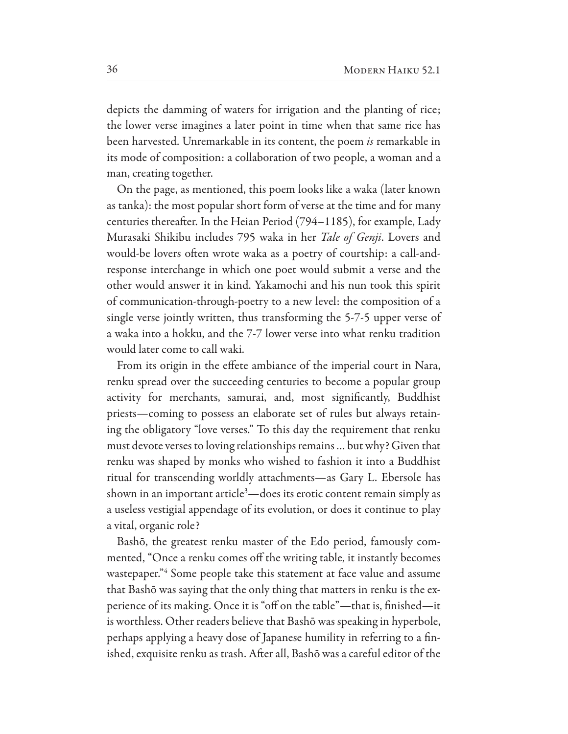depicts the damming of waters for irrigation and the planting of rice; the lower verse imagines a later point in time when that same rice has been harvested. Unremarkable in its content, the poem *is* remarkable in its mode of composition: a collaboration of two people, a woman and a man, creating together.

On the page, as mentioned, this poem looks like a waka (later known as tanka): the most popular short form of verse at the time and for many centuries thereafter. In the Heian Period (794–1185), for example, Lady Murasaki Shikibu includes 795 waka in her *Tale of Genji*. Lovers and would-be lovers often wrote waka as a poetry of courtship: a call-andresponse interchange in which one poet would submit a verse and the other would answer it in kind. Yakamochi and his nun took this spirit of communication-through-poetry to a new level: the composition of a single verse jointly written, thus transforming the 5-7-5 upper verse of a waka into a hokku, and the 7-7 lower verse into what renku tradition would later come to call waki.

From its origin in the efete ambiance of the imperial court in Nara, renku spread over the succeeding centuries to become a popular group activity for merchants, samurai, and, most signifcantly, Buddhist priests—coming to possess an elaborate set of rules but always retaining the obligatory "love verses." To this day the requirement that renku must devote verses to loving relationships remains … but why? Given that renku was shaped by monks who wished to fashion it into a Buddhist ritual for transcending worldly attachments—as Gary L. Ebersole has shown in an important article<sup>3</sup>—does its erotic content remain simply as a useless vestigial appendage of its evolution, or does it continue to play a vital, organic role?

Bashō, the greatest renku master of the Edo period, famously commented, "Once a renku comes off the writing table, it instantly becomes wastepaper." Some people take this statement at face value and assume that Bashō was saying that the only thing that matters in renku is the experience of its making. Once it is "off on the table"-that is, finished-it is worthless. Other readers believe that Bashō was speaking in hyperbole, perhaps applying a heavy dose of Japanese humility in referring to a fnished, exquisite renku as trash. After all, Bashō was a careful editor of the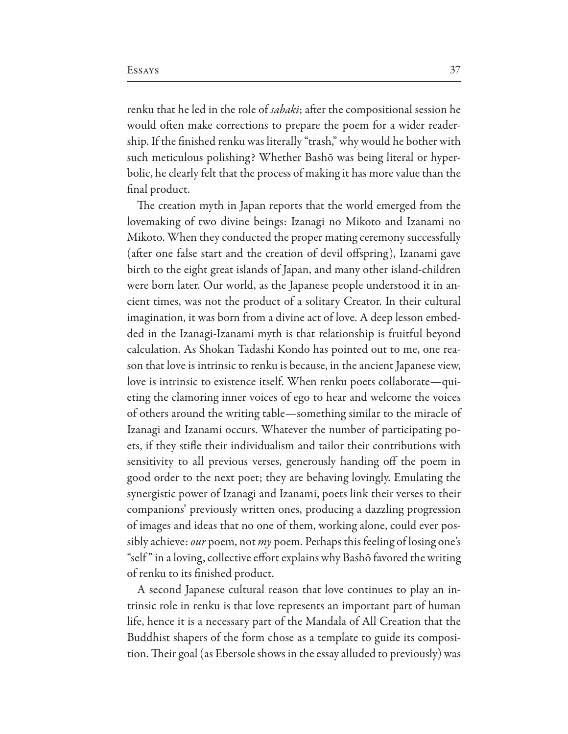renku that he led in the role of *sabaki*; afer the compositional session he would often make corrections to prepare the poem for a wider readership. If the fnished renku was literally "trash," why would he bother with such meticulous polishing? Whether Bashō was being literal or hyperbolic, he clearly felt that the process of making it has more value than the fnal product.

The creation myth in Japan reports that the world emerged from the lovemaking of two divine beings: Izanagi no Mikoto and Izanami no Mikoto. When they conducted the proper mating ceremony successfully (after one false start and the creation of devil offspring), Izanami gave birth to the eight great islands of Japan, and many other island-children were born later. Our world, as the Japanese people understood it in ancient times, was not the product of a solitary Creator. In their cultural imagination, it was born from a divine act of love. A deep lesson embedded in the Izanagi-Izanami myth is that relationship is fruitful beyond calculation. As Shokan Tadashi Kondo has pointed out to me, one reason that love is intrinsic to renku is because, in the ancient Japanese view, love is intrinsic to existence itself. When renku poets collaborate—quieting the clamoring inner voices of ego to hear and welcome the voices of others around the writing table—something similar to the miracle of Izanagi and Izanami occurs. Whatever the number of participating poets, if they stife their individualism and tailor their contributions with sensitivity to all previous verses, generously handing off the poem in good order to the next poet; they are behaving lovingly. Emulating the synergistic power of Izanagi and Izanami, poets link their verses to their companions' previously written ones, producing a dazzling progression of images and ideas that no one of them, working alone, could ever possibly achieve: *our* poem, not *my* poem. Perhaps this feeling of losing one's "self" in a loving, collective effort explains why Bashō favored the writing of renku to its fnished product.

A second Japanese cultural reason that love continues to play an intrinsic role in renku is that love represents an important part of human life, hence it is a necessary part of the Mandala of All Creation that the Buddhist shapers of the form chose as a template to guide its composition. Their goal (as Ebersole shows in the essay alluded to previously) was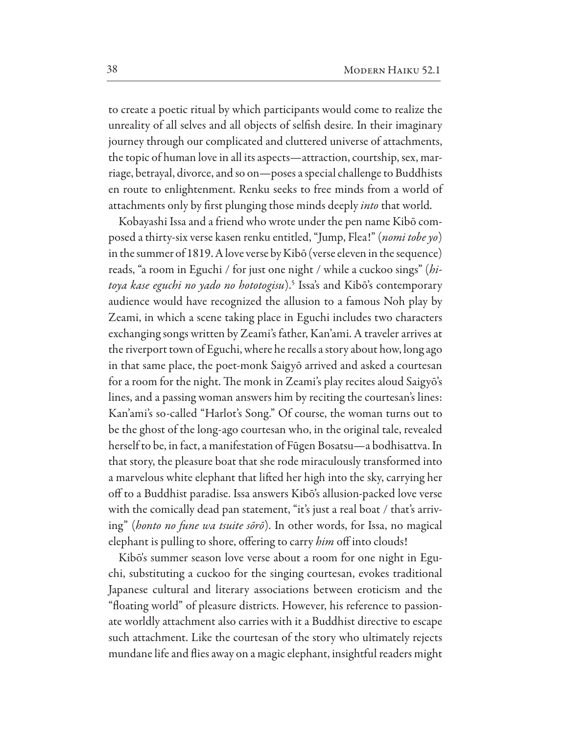to create a poetic ritual by which participants would come to realize the unreality of all selves and all objects of selfsh desire. In their imaginary journey through our complicated and cluttered universe of attachments, the topic of human love in all its aspects—attraction, courtship, sex, marriage, betrayal, divorce, and so on—poses a special challenge to Buddhists en route to enlightenment. Renku seeks to free minds from a world of attachments only by frst plunging those minds deeply *into* that world.

Kobayashi Issa and a friend who wrote under the pen name Kibō composed a thirty-six verse kasen renku entitled, "Jump, Flea!" (*nomi tobe yo*) in the summer of 1819. A love verse by Kibō (verse eleven in the sequence) reads, "a room in Eguchi / for just one night / while a cuckoo sings" (*hitoya kase eguchi no yado no hototogisu*).5 Issa's and Kibō's contemporary audience would have recognized the allusion to a famous Noh play by Zeami, in which a scene taking place in Eguchi includes two characters exchanging songs written by Zeami's father, Kan'ami. A traveler arrives at the riverport town of Eguchi, where he recalls a story about how, long ago in that same place, the poet-monk Saigyō arrived and asked a courtesan for a room for the night. The monk in Zeami's play recites aloud Saigyō's lines, and a passing woman answers him by reciting the courtesan's lines: Kan'ami's so-called "Harlot's Song." Of course, the woman turns out to be the ghost of the long-ago courtesan who, in the original tale, revealed herself to be, in fact, a manifestation of Fūgen Bosatsu—a bodhisattva. In that story, the pleasure boat that she rode miraculously transformed into a marvelous white elephant that lifed her high into the sky, carrying her of to a Buddhist paradise. Issa answers Kibō's allusion-packed love verse with the comically dead pan statement, "it's just a real boat / that's arriving" (*honto no fune wa tsuite s*ō*r*ō). In other words, for Issa, no magical elephant is pulling to shore, offering to carry *him* off into clouds!

Kibō's summer season love verse about a room for one night in Eguchi, substituting a cuckoo for the singing courtesan, evokes traditional Japanese cultural and literary associations between eroticism and the "foating world" of pleasure districts. However, his reference to passionate worldly attachment also carries with it a Buddhist directive to escape such attachment. Like the courtesan of the story who ultimately rejects mundane life and fies away on a magic elephant, insightful readers might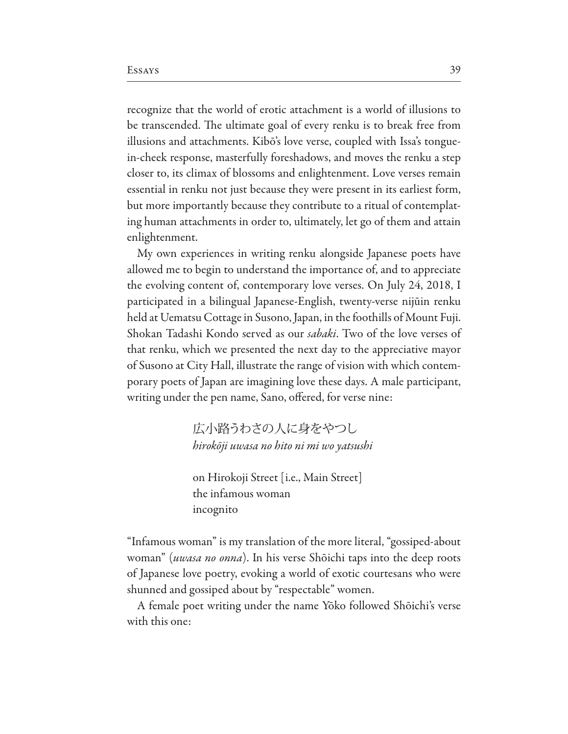recognize that the world of erotic attachment is a world of illusions to be transcended. The ultimate goal of every renku is to break free from illusions and attachments. Kibō's love verse, coupled with Issa's tonguein-cheek response, masterfully foreshadows, and moves the renku a step closer to, its climax of blossoms and enlightenment. Love verses remain essential in renku not just because they were present in its earliest form, but more importantly because they contribute to a ritual of contemplating human attachments in order to, ultimately, let go of them and attain enlightenment.

My own experiences in writing renku alongside Japanese poets have allowed me to begin to understand the importance of, and to appreciate the evolving content of, contemporary love verses. On July 24, 2018, I participated in a bilingual Japanese-English, twenty-verse nijūin renku held at Uematsu Cottage in Susono, Japan, in the foothills of Mount Fuji. Shokan Tadashi Kondo served as our *sabaki*. Two of the love verses of that renku, which we presented the next day to the appreciative mayor of Susono at City Hall, illustrate the range of vision with which contemporary poets of Japan are imagining love these days. A male participant, writing under the pen name, Sano, offered, for verse nine:

> 広小路うわさの人に身をやつし *hirok*ō*ji uwasa no hito ni mi wo yatsushi*

on Hirokoji Street [i.e., Main Street] the infamous woman incognito

"Infamous woman" is my translation of the more literal, "gossiped-about woman" (*uwasa no onna*). In his verse Shōichi taps into the deep roots of Japanese love poetry, evoking a world of exotic courtesans who were shunned and gossiped about by "respectable" women.

A female poet writing under the name Yōko followed Shōichi's verse with this one: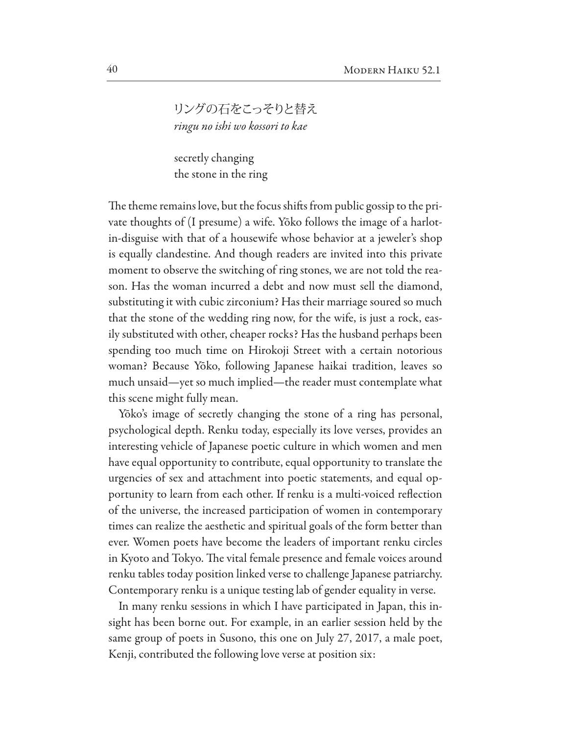リングの石をこっそりと替え *ringu no ishi wo kossori to kae*

secretly changing the stone in the ring

The theme remains love, but the focus shifts from public gossip to the private thoughts of (I presume) a wife. Yōko follows the image of a harlotin-disguise with that of a housewife whose behavior at a jeweler's shop is equally clandestine. And though readers are invited into this private moment to observe the switching of ring stones, we are not told the reason. Has the woman incurred a debt and now must sell the diamond, substituting it with cubic zirconium? Has their marriage soured so much that the stone of the wedding ring now, for the wife, is just a rock, easily substituted with other, cheaper rocks? Has the husband perhaps been spending too much time on Hirokoji Street with a certain notorious woman? Because Yōko, following Japanese haikai tradition, leaves so much unsaid—yet so much implied—the reader must contemplate what this scene might fully mean.

Yōko's image of secretly changing the stone of a ring has personal, psychological depth. Renku today, especially its love verses, provides an interesting vehicle of Japanese poetic culture in which women and men have equal opportunity to contribute, equal opportunity to translate the urgencies of sex and attachment into poetic statements, and equal opportunity to learn from each other. If renku is a multi-voiced refection of the universe, the increased participation of women in contemporary times can realize the aesthetic and spiritual goals of the form better than ever. Women poets have become the leaders of important renku circles in Kyoto and Tokyo. The vital female presence and female voices around renku tables today position linked verse to challenge Japanese patriarchy. Contemporary renku is a unique testing lab of gender equality in verse.

In many renku sessions in which I have participated in Japan, this insight has been borne out. For example, in an earlier session held by the same group of poets in Susono, this one on July 27, 2017, a male poet, Kenji, contributed the following love verse at position six: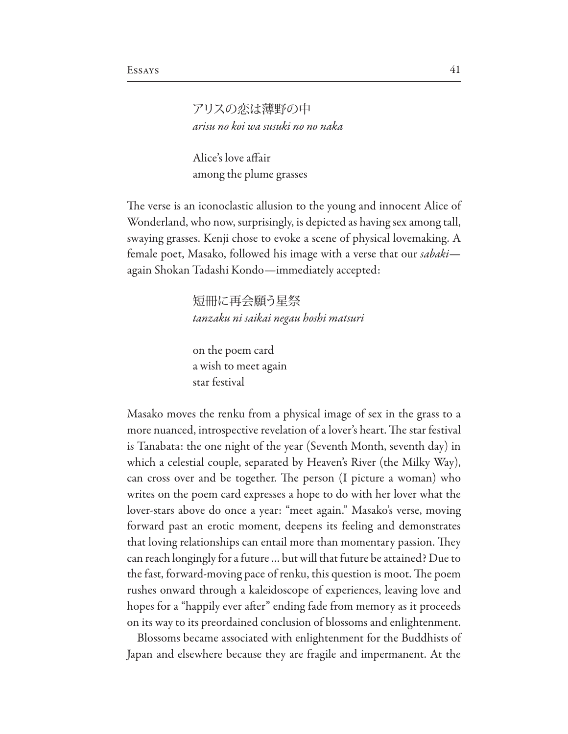## アリスの恋は薄野の中 *arisu no koi wa susuki no no naka*

Alice's love affair among the plume grasses

The verse is an iconoclastic allusion to the young and innocent Alice of Wonderland, who now, surprisingly, is depicted as having sex among tall, swaying grasses. Kenji chose to evoke a scene of physical lovemaking. A female poet, Masako, followed his image with a verse that our *sabaki* again Shokan Tadashi Kondo—immediately accepted:

> 短冊に再会願う星祭 *tanzaku ni saikai negau hoshi matsuri*

on the poem card a wish to meet again star festival

Masako moves the renku from a physical image of sex in the grass to a more nuanced, introspective revelation of a lover's heart. The star festival is Tanabata: the one night of the year (Seventh Month, seventh day) in which a celestial couple, separated by Heaven's River (the Milky Way), can cross over and be together. The person (I picture a woman) who writes on the poem card expresses a hope to do with her lover what the lover-stars above do once a year: "meet again." Masako's verse, moving forward past an erotic moment, deepens its feeling and demonstrates that loving relationships can entail more than momentary passion. They can reach longingly for a future … but will that future be attained? Due to the fast, forward-moving pace of renku, this question is moot. The poem rushes onward through a kaleidoscope of experiences, leaving love and hopes for a "happily ever after" ending fade from memory as it proceeds on its way to its preordained conclusion of blossoms and enlightenment.

Blossoms became associated with enlightenment for the Buddhists of Japan and elsewhere because they are fragile and impermanent. At the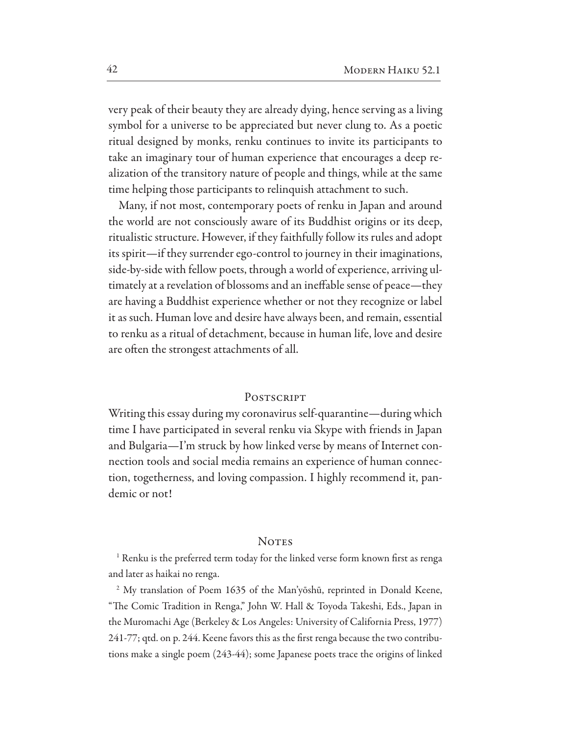very peak of their beauty they are already dying, hence serving as a living symbol for a universe to be appreciated but never clung to. As a poetic ritual designed by monks, renku continues to invite its participants to take an imaginary tour of human experience that encourages a deep realization of the transitory nature of people and things, while at the same time helping those participants to relinquish attachment to such.

Many, if not most, contemporary poets of renku in Japan and around the world are not consciously aware of its Buddhist origins or its deep, ritualistic structure. However, if they faithfully follow its rules and adopt its spirit—if they surrender ego-control to journey in their imaginations, side-by-side with fellow poets, through a world of experience, arriving ultimately at a revelation of blossoms and an inefable sense of peace—they are having a Buddhist experience whether or not they recognize or label it as such. Human love and desire have always been, and remain, essential to renku as a ritual of detachment, because in human life, love and desire are often the strongest attachments of all.

### POSTSCRIPT

Writing this essay during my coronavirus self-quarantine—during which time I have participated in several renku via Skype with friends in Japan and Bulgaria—I'm struck by how linked verse by means of Internet connection tools and social media remains an experience of human connection, togetherness, and loving compassion. I highly recommend it, pandemic or not!

#### **NOTES**

<sup>1</sup> Renku is the preferred term today for the linked verse form known first as renga and later as haikai no renga.

<sup>2</sup> My translation of Poem 1635 of the Man'yōshū, reprinted in Donald Keene, "The Comic Tradition in Renga," John W. Hall & Toyoda Takeshi, Eds., Japan in the Muromachi Age (Berkeley & Los Angeles: University of California Press, 1977) 241-77; qtd. on p. 244. Keene favors this as the first renga because the two contributions make a single poem (243-44); some Japanese poets trace the origins of linked